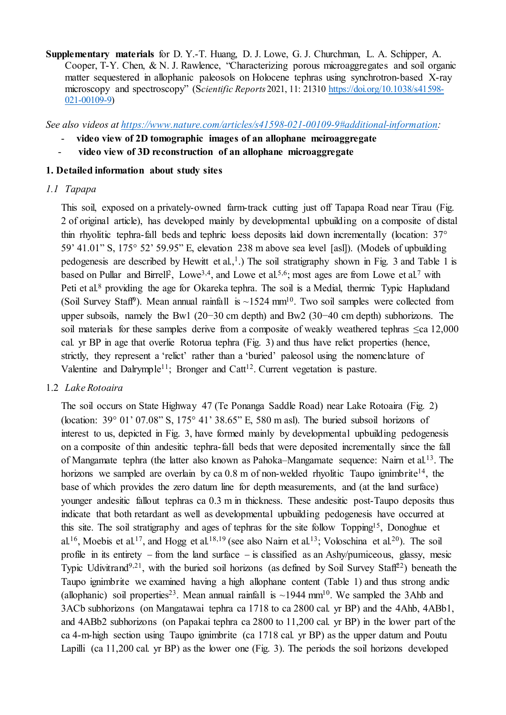**Supplementary materials** for D. Y.-T. Huang, D. J. Lowe, G. J. Churchman, L. A. Schipper, A. Cooper, T-Y. Chen, & N. J. Rawlence, "Characterizing porous microaggregates and soil organic matter sequestered in allophanic paleosols on Holocene tephras using synchrotron-based X-ray microscopy and spectroscopy" (S*cientific Reports* 2021, 11: 21310 [https://doi.org/10.1038/s41598-](https://doi.org/10.1038/s41598-021-00109-9) [021-00109-9\)](https://doi.org/10.1038/s41598-021-00109-9)

*See also videos at [https://www.nature.com/articles/s41598-021-00109-9#additional-information:](https://www.nature.com/articles/s41598-021-00109-9#additional-information)*

- **video view of 2D tomographic images of an allophane mciroaggregate**
- **video view of 3D reconstruction of an allophane microaggregate**

## **1. Detailed information about study sites**

# *1.1 Tapapa*

This soil, exposed on a privately-owned farm-track cutting just off Tapapa Road near Tirau (Fig. 2 of original article), has developed mainly by developmental upbuilding on a composite of distal thin rhyolitic tephra-fall beds and tephric loess deposits laid down incrementally (location: 37° 59' 41.01" S, 175° 52' 59.95" E, elevation 238 m above sea level [asl]). (Models of upbuilding pedogenesis are described by Hewitt et al.,<sup>1</sup>.) The soil stratigraphy shown in Fig. 3 and Table 1 is based on Pullar and Birrell<sup>2</sup>, Lowe<sup>3,4</sup>, and Lowe et al.<sup>5,6</sup>; most ages are from Lowe et al.<sup>7</sup> with Peti et al.<sup>8</sup> providing the age for Okareka tephra. The soil is a Medial, thermic Typic Hapludand (Soil Survey Staff<sup>9</sup>). Mean annual rainfall is  $\sim$ 1524 mm<sup>10</sup>. Two soil samples were collected from upper subsoils, namely the Bw1 (20−30 cm depth) and Bw2 (30−40 cm depth) subhorizons. The soil materials for these samples derive from a composite of weakly weathered tephras  $\leq$ ca 12,000 cal. yr BP in age that overlie Rotorua tephra (Fig. 3) and thus have relict properties (hence, strictly, they represent a 'relict' rather than a 'buried' paleosol using the nomenclature of Valentine and Dalrymple<sup>11</sup>; Bronger and Catt<sup>12</sup>. Current vegetation is pasture.

# 1.2 *Lake Rotoaira*

The soil occurs on State Highway 47 (Te Ponanga Saddle Road) near Lake Rotoaira (Fig. 2) (location: 39° 01' 07.08" S, 175° 41' 38.65" E, 580 m asl). The buried subsoil horizons of interest to us, depicted in Fig. 3, have formed mainly by developmental upbuilding pedogenesis on a composite of thin andesitic tephra-fall beds that were deposited incrementally since the fall of Mangamate tephra (the latter also known as Pahoka–Mangamate sequence: Nairn et al.13. The horizons we sampled are overlain by ca  $0.8$  m of non-welded rhyolitic Taupo ignimbrite<sup>14</sup>, the base of which provides the zero datum line for depth measurements, and (at the land surface) younger andesitic fallout tephras ca 0.3 m in thickness. These andesitic post-Taupo deposits thus indicate that both retardant as well as developmental upbuilding pedogenesis have occurred at this site. The soil stratigraphy and ages of tephras for the site follow Topping15, Donoghue et al.<sup>16</sup>, Moebis et al.<sup>17</sup>, and Hogg et al.<sup>18,19</sup> (see also Nairn et al.<sup>13</sup>; Voloschina et al.<sup>20</sup>). The soil profile in its entirety − from the land surface − is classified as an Ashy/pumiceous, glassy, mesic Typic Udivitrand<sup>9,21</sup>, with the buried soil horizons (as defined by Soil Survey Staff<sup>22</sup>) beneath the Taupo ignimbrite we examined having a high allophane content (Table 1) and thus strong andic (allophanic) soil properties<sup>23</sup>. Mean annual rainfall is  $\sim$ 1944 mm<sup>10</sup>. We sampled the 3Ahb and 3ACb subhorizons (on Mangatawai tephra ca 1718 to ca 2800 cal. yr BP) and the 4Ahb, 4ABb1, and 4ABb2 subhorizons (on Papakai tephra ca 2800 to 11,200 cal. yr BP) in the lower part of the ca 4-m-high section using Taupo ignimbrite (ca 1718 cal. yr BP) as the upper datum and Poutu Lapilli (ca 11,200 cal. yr BP) as the lower one (Fig. 3). The periods the soil horizons developed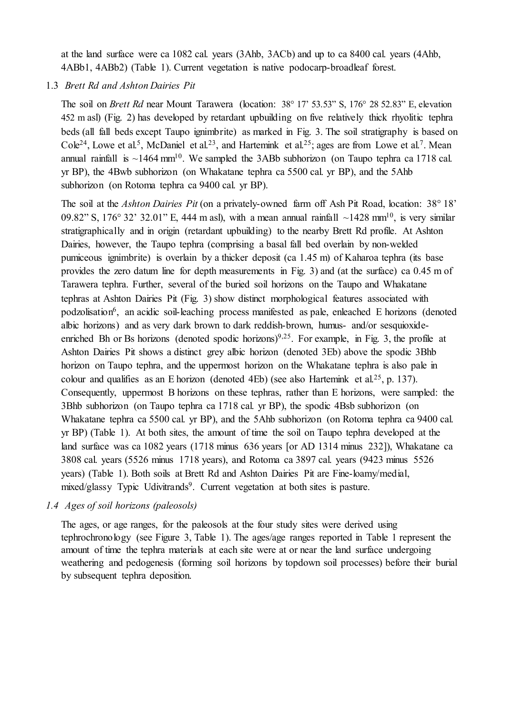at the land surface were ca 1082 cal. years (3Ahb, 3ACb) and up to ca 8400 cal. years (4Ahb, 4ABb1, 4ABb2) (Table 1). Current vegetation is native podocarp-broadleaf forest.

### 1.3 *Brett Rd and Ashton Dairies Pit*

The soil on *Brett Rd* near Mount Tarawera (location: 38° 17' 53.53" S, 176° 28 52.83" E, elevation 452 m asl) (Fig. 2) has developed by retardant upbuilding on five relatively thick rhyolitic tephra beds (all fall beds except Taupo ignimbrite) as marked in Fig. 3. The soil stratigraphy is based on  $Cole<sup>24</sup>$ , Lowe et al.<sup>5</sup>, McDaniel et al.<sup>23</sup>, and Hartemink et al.<sup>25</sup>; ages are from Lowe et al.<sup>7</sup>. Mean annual rainfall is  $\sim$ 1464 mm<sup>10</sup>. We sampled the 3ABb subhorizon (on Taupo tephra ca 1718 cal. yr BP), the 4Bwb subhorizon (on Whakatane tephra ca 5500 cal. yr BP), and the 5Ahb subhorizon (on Rotoma tephra ca 9400 cal. yr BP).

The soil at the *Ashton Dairies Pit* (on a privately-owned farm off Ash Pit Road, location: 38° 18' 09.82" S, 176° 32' 32.01" E, 444 m asl), with a mean annual rainfall  $\sim$ 1428 mm<sup>10</sup>, is very similar stratigraphically and in origin (retardant upbuilding) to the nearby Brett Rd profile. At Ashton Dairies, however, the Taupo tephra (comprising a basal fall bed overlain by non-welded pumiceous ignimbrite) is overlain by a thicker deposit (ca 1.45 m) of Kaharoa tephra (its base provides the zero datum line for depth measurements in Fig. 3) and (at the surface) ca 0.45 m of Tarawera tephra. Further, several of the buried soil horizons on the Taupo and Whakatane tephras at Ashton Dairies Pit (Fig. 3) show distinct morphological features associated with podzolisation6, an acidic soil-leaching process manifested as pale, enleached E horizons (denoted albic horizons) and as very dark brown to dark reddish-brown, humus- and/or sesquioxideenriched Bh or Bs horizons (denoted spodic horizons)<sup>9,25</sup>. For example, in Fig. 3, the profile at Ashton Dairies Pit shows a distinct grey albic horizon (denoted 3Eb) above the spodic 3Bhb horizon on Taupo tephra, and the uppermost horizon on the Whakatane tephra is also pale in colour and qualifies as an E horizon (denoted 4Eb) (see also Hartemink et al.<sup>25</sup>, p. 137). Consequently, uppermost B horizons on these tephras, rather than E horizons, were sampled: the 3Bhb subhorizon (on Taupo tephra ca 1718 cal. yr BP), the spodic 4Bsb subhorizon (on Whakatane tephra ca 5500 cal. yr BP), and the 5Ahb subhorizon (on Rotoma tephra ca 9400 cal. yr BP) (Table 1). At both sites, the amount of time the soil on Taupo tephra developed at the land surface was ca 1082 years (1718 minus 636 years [or AD 1314 minus 232]), Whakatane ca 3808 cal. years (5526 minus 1718 years), and Rotoma ca 3897 cal. years (9423 minus 5526 years) (Table 1). Both soils at Brett Rd and Ashton Dairies Pit are Fine-loamy/medial, mixed/glassy Typic Udivitrands<sup>9</sup>. Current vegetation at both sites is pasture.

### *1.4 Ages of soil horizons (paleosols)*

The ages, or age ranges, for the paleosols at the four study sites were derived using tephrochronology (see Figure 3, Table 1). The ages/age ranges reported in Table 1 represent the amount of time the tephra materials at each site were at or near the land surface undergoing weathering and pedogenesis (forming soil horizons by topdown soil processes) before their burial by subsequent tephra deposition.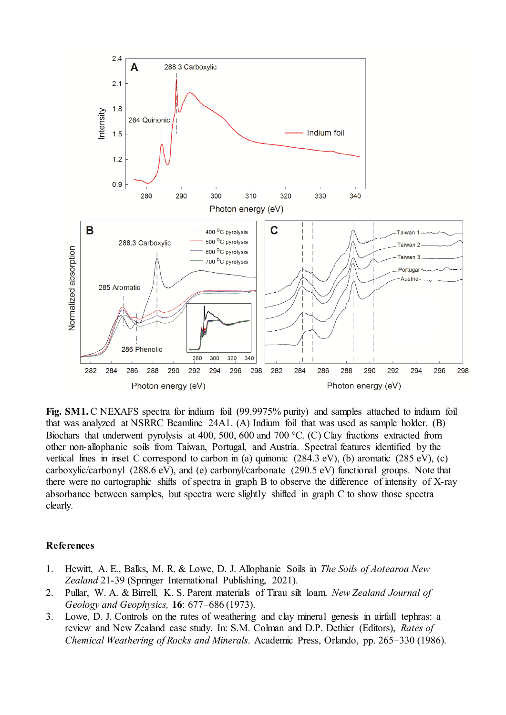

**Fig. SM1.** C NEXAFS spectra for indium foil (99.9975% purity) and samples attached to indium foil that was analyzed at NSRRC Beamline 24A1. (A) Indium foil that was used as sample holder. (B) Biochars that underwent pyrolysis at 400, 500, 600 and 700 °C. (C) Clay fractions extracted from other non-allophanic soils from Taiwan, Portugal, and Austria. Spectral features identified by the vertical lines in inset C correspond to carbon in (a) quinonic (284.3 eV), (b) aromatic (285 eV), (c) carboxylic/carbonyl (288.6 eV), and (e) carbonyl/carbonate (290.5 eV) functional groups. Note that there were no cartographic shifts of spectra in graph B to observe the difference of intensity of X-ray absorbance between samples, but spectra were slightly shifted in graph C to show those spectra clearly.

#### **References**

- 1. Hewitt, A. E., Balks, M. R. & Lowe, D. J. Allophanic Soils in *The Soils of Aotearoa New Zealand* 21-39 (Springer International Publishing, 2021).
- 2. Pullar, W. A. & Birrell, K. S. Parent materials of Tirau silt loam. *New Zealand Journal of Geology and Geophysics,* **16**: 677−686 (1973).
- 3. Lowe, D. J. Controls on the rates of weathering and clay mineral genesis in airfall tephras: a review and New Zealand case study. In: S.M. Colman and D.P. Dethier (Editors), *Rates of Chemical Weathering of Rocks and Minerals*. Academic Press, Orlando, pp. 265−330 (1986).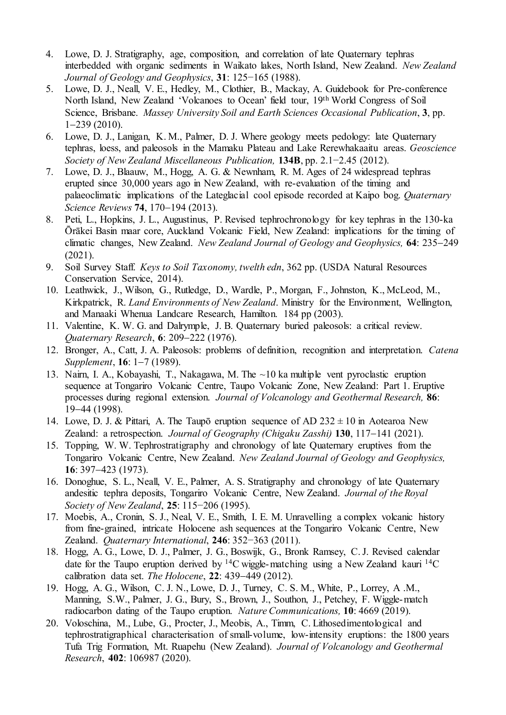- 4. Lowe, D. J. Stratigraphy, age, composition, and correlation of late Quaternary tephras interbedded with organic sediments in Waikato lakes, North Island, New Zealand. *New Zealand Journal of Geology and Geophysics*, **31**: 125−165 (1988).
- 5. Lowe, D. J., Neall, V. E., Hedley, M., Clothier, B., Mackay, A. Guidebook for Pre-conference North Island, New Zealand 'Volcanoes to Ocean' field tour, 19th World Congress of Soil Science, Brisbane. *Massey University Soil and Earth Sciences Occasional Publication*, **3**, pp. 1−239 (2010).
- 6. Lowe, D. J., Lanigan, K. M., Palmer, D. J. Where geology meets pedology: late Quaternary tephras, loess, and paleosols in the Mamaku Plateau and Lake Rerewhakaaitu areas. *Geoscience Society of New Zealand Miscellaneous Publication,* **134B**, pp. 2.1−2.45 (2012).
- 7. Lowe, D. J., Blaauw, M., Hogg, A. G. & Newnham, R. M. Ages of 24 widespread tephras erupted since 30,000 years ago in New Zealand, with re-evaluation of the timing and palaeoclimatic implications of the Lateglacial cool episode recorded at Kaipo bog. *Quaternary Science Reviews* **74**, 170−194 (2013).
- 8. Peti, L., Hopkins, J. L., Augustinus, P. Revised tephrochronology for key tephras in the 130-ka Ōrākei Basin maar core, Auckland Volcanic Field, New Zealand: implications for the timing of climatic changes, New Zealand. *New Zealand Journal of Geology and Geophysics,* **64**: 235−249 (2021).
- 9. Soil Survey Staff. *Keys to Soil Taxonomy, twelth edn*, 362 pp. (USDA Natural Resources Conservation Service, 2014).
- 10. Leathwick, J., Wilson, G., Rutledge, D., Wardle, P., Morgan, F., Johnston, K., McLeod, M., Kirkpatrick, R. *Land Environments of New Zealand*. Ministry for the Environment, Wellington, and Manaaki Whenua Landcare Research, Hamilton. 184 pp (2003).
- 11. Valentine, K. W. G. and Dalrymple, J. B. Quaternary buried paleosols: a critical review. *Quaternary Research*, **6**: 209−222 (1976).
- 12. Bronger, A., Catt, J. A. Paleosols: problems of definition, recognition and interpretation. *Catena Supplement*, **16**: 1−7 (1989).
- 13. Nairn, I. A., Kobayashi, T., Nakagawa, M. The ~10 ka multiple vent pyroclastic eruption sequence at Tongariro Volcanic Centre, Taupo Volcanic Zone, New Zealand: Part 1. Eruptive processes during regional extension. *Journal of Volcanology and Geothermal Research,* **86**: 19−44 (1998).
- 14. Lowe, D. J. & Pittari, A. The Taupō eruption sequence of AD  $232 \pm 10$  in Aotearoa New Zealand: a retrospection. *Journal of Geography (Chigaku Zasshi)* **130**, 117−141 (2021).
- 15. Topping, W. W. Tephrostratigraphy and chronology of late Quaternary eruptives from the Tongariro Volcanic Centre, New Zealand. *New Zealand Journal of Geology and Geophysics,* **16**: 397−423 (1973).
- 16. Donoghue, S. L., Neall, V. E., Palmer, A. S. Stratigraphy and chronology of late Quaternary andesitic tephra deposits, Tongariro Volcanic Centre, New Zealand. *Journal of the Royal Society of New Zealand*, **25**: 115−206 (1995).
- 17. Moebis, A., Cronin, S. J., Neal, V. E., Smith, I. E. M. Unravelling a complex volcanic history from fine-grained, intricate Holocene ash sequences at the Tongariro Volcanic Centre, New Zealand. *Quaternary International*, **246**: 352−363 (2011).
- 18. Hogg, A. G., Lowe, D. J., Palmer, J. G., Boswijk, G., Bronk Ramsey, C. J. Revised calendar date for the Taupo eruption derived by <sup>14</sup>C wiggle-matching using a New Zealand kauri <sup>14</sup>C calibration data set. *The Holocene*, **22**: 439−449 (2012).
- 19. Hogg, A. G., Wilson, C. J. N., Lowe, D. J., Turney, C. S. M., White, P., Lorrey, A .M., Manning, S.W., Palmer, J. G., Bury, S., Brown, J., Southon, J., Petchey, F. Wiggle-match radiocarbon dating of the Taupo eruption. *Nature Communications,* **10**: 4669 (2019).
- 20. [Voloschina,](https://www.mendeley.com/authors/57203974074) M., Lube, G., Procter, J., Meobis, A., Timm, C. [Lithosedimentological and](https://www.mendeley.com/catalogue/c3dac6b4-6e3e-35ab-866a-abea6f3bbfa1/)  [tephrostratigraphical characterisation of small-volume, low-intensity eruptions: the 1800 years](https://www.mendeley.com/catalogue/c3dac6b4-6e3e-35ab-866a-abea6f3bbfa1/)  [Tufa Trig Formation, Mt. Ruapehu \(New Zealand\).](https://www.mendeley.com/catalogue/c3dac6b4-6e3e-35ab-866a-abea6f3bbfa1/) *Journal of Volcanology and Geothermal Research*, **402**: 106987 (2020).